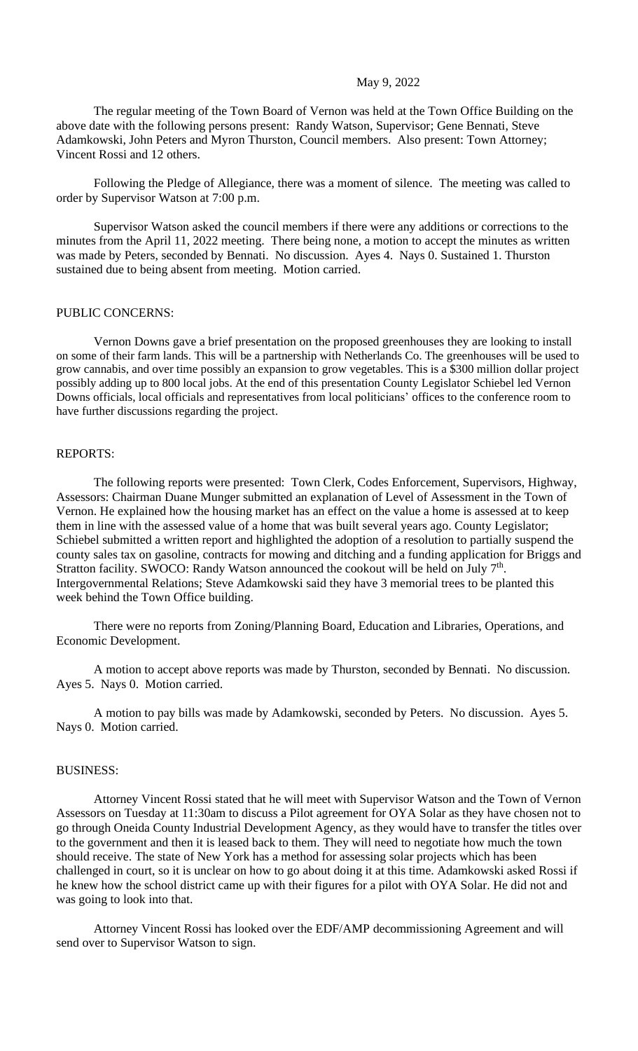### May 9, 2022

The regular meeting of the Town Board of Vernon was held at the Town Office Building on the above date with the following persons present: Randy Watson, Supervisor; Gene Bennati, Steve Adamkowski, John Peters and Myron Thurston, Council members. Also present: Town Attorney; Vincent Rossi and 12 others.

Following the Pledge of Allegiance, there was a moment of silence. The meeting was called to order by Supervisor Watson at 7:00 p.m.

Supervisor Watson asked the council members if there were any additions or corrections to the minutes from the April 11, 2022 meeting. There being none, a motion to accept the minutes as written was made by Peters, seconded by Bennati. No discussion. Ayes 4. Nays 0. Sustained 1. Thurston sustained due to being absent from meeting. Motion carried.

# PUBLIC CONCERNS:

Vernon Downs gave a brief presentation on the proposed greenhouses they are looking to install on some of their farm lands. This will be a partnership with Netherlands Co. The greenhouses will be used to grow cannabis, and over time possibly an expansion to grow vegetables. This is a \$300 million dollar project possibly adding up to 800 local jobs. At the end of this presentation County Legislator Schiebel led Vernon Downs officials, local officials and representatives from local politicians' offices to the conference room to have further discussions regarding the project.

# REPORTS:

The following reports were presented: Town Clerk, Codes Enforcement, Supervisors, Highway, Assessors: Chairman Duane Munger submitted an explanation of Level of Assessment in the Town of Vernon. He explained how the housing market has an effect on the value a home is assessed at to keep them in line with the assessed value of a home that was built several years ago. County Legislator; Schiebel submitted a written report and highlighted the adoption of a resolution to partially suspend the county sales tax on gasoline, contracts for mowing and ditching and a funding application for Briggs and Stratton facility. SWOCO: Randy Watson announced the cookout will be held on July 7<sup>th</sup>. Intergovernmental Relations; Steve Adamkowski said they have 3 memorial trees to be planted this week behind the Town Office building.

There were no reports from Zoning/Planning Board, Education and Libraries, Operations, and Economic Development.

A motion to accept above reports was made by Thurston, seconded by Bennati. No discussion. Ayes 5. Nays 0. Motion carried.

A motion to pay bills was made by Adamkowski, seconded by Peters. No discussion. Ayes 5. Nays 0. Motion carried.

#### BUSINESS:

Attorney Vincent Rossi stated that he will meet with Supervisor Watson and the Town of Vernon Assessors on Tuesday at 11:30am to discuss a Pilot agreement for OYA Solar as they have chosen not to go through Oneida County Industrial Development Agency, as they would have to transfer the titles over to the government and then it is leased back to them. They will need to negotiate how much the town should receive. The state of New York has a method for assessing solar projects which has been challenged in court, so it is unclear on how to go about doing it at this time. Adamkowski asked Rossi if he knew how the school district came up with their figures for a pilot with OYA Solar. He did not and was going to look into that.

Attorney Vincent Rossi has looked over the EDF/AMP decommissioning Agreement and will send over to Supervisor Watson to sign.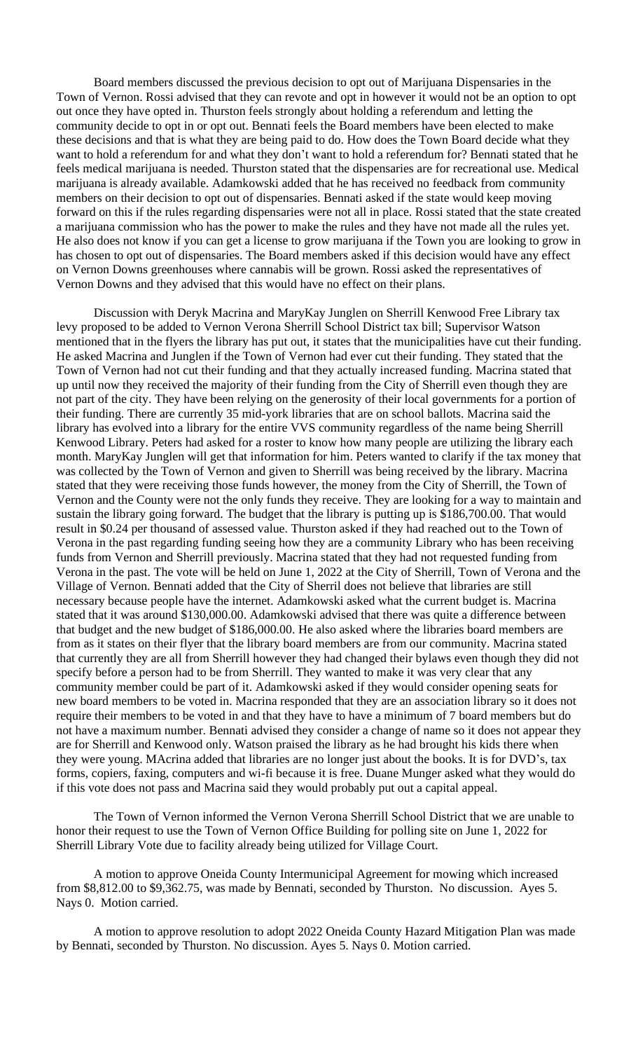Board members discussed the previous decision to opt out of Marijuana Dispensaries in the Town of Vernon. Rossi advised that they can revote and opt in however it would not be an option to opt out once they have opted in. Thurston feels strongly about holding a referendum and letting the community decide to opt in or opt out. Bennati feels the Board members have been elected to make these decisions and that is what they are being paid to do. How does the Town Board decide what they want to hold a referendum for and what they don't want to hold a referendum for? Bennati stated that he feels medical marijuana is needed. Thurston stated that the dispensaries are for recreational use. Medical marijuana is already available. Adamkowski added that he has received no feedback from community members on their decision to opt out of dispensaries. Bennati asked if the state would keep moving forward on this if the rules regarding dispensaries were not all in place. Rossi stated that the state created a marijuana commission who has the power to make the rules and they have not made all the rules yet. He also does not know if you can get a license to grow marijuana if the Town you are looking to grow in has chosen to opt out of dispensaries. The Board members asked if this decision would have any effect on Vernon Downs greenhouses where cannabis will be grown. Rossi asked the representatives of Vernon Downs and they advised that this would have no effect on their plans.

Discussion with Deryk Macrina and MaryKay Junglen on Sherrill Kenwood Free Library tax levy proposed to be added to Vernon Verona Sherrill School District tax bill; Supervisor Watson mentioned that in the flyers the library has put out, it states that the municipalities have cut their funding. He asked Macrina and Junglen if the Town of Vernon had ever cut their funding. They stated that the Town of Vernon had not cut their funding and that they actually increased funding. Macrina stated that up until now they received the majority of their funding from the City of Sherrill even though they are not part of the city. They have been relying on the generosity of their local governments for a portion of their funding. There are currently 35 mid-york libraries that are on school ballots. Macrina said the library has evolved into a library for the entire VVS community regardless of the name being Sherrill Kenwood Library. Peters had asked for a roster to know how many people are utilizing the library each month. MaryKay Junglen will get that information for him. Peters wanted to clarify if the tax money that was collected by the Town of Vernon and given to Sherrill was being received by the library. Macrina stated that they were receiving those funds however, the money from the City of Sherrill, the Town of Vernon and the County were not the only funds they receive. They are looking for a way to maintain and sustain the library going forward. The budget that the library is putting up is \$186,700.00. That would result in \$0.24 per thousand of assessed value. Thurston asked if they had reached out to the Town of Verona in the past regarding funding seeing how they are a community Library who has been receiving funds from Vernon and Sherrill previously. Macrina stated that they had not requested funding from Verona in the past. The vote will be held on June 1, 2022 at the City of Sherrill, Town of Verona and the Village of Vernon. Bennati added that the City of Sherril does not believe that libraries are still necessary because people have the internet. Adamkowski asked what the current budget is. Macrina stated that it was around \$130,000.00. Adamkowski advised that there was quite a difference between that budget and the new budget of \$186,000.00. He also asked where the libraries board members are from as it states on their flyer that the library board members are from our community. Macrina stated that currently they are all from Sherrill however they had changed their bylaws even though they did not specify before a person had to be from Sherrill. They wanted to make it was very clear that any community member could be part of it. Adamkowski asked if they would consider opening seats for new board members to be voted in. Macrina responded that they are an association library so it does not require their members to be voted in and that they have to have a minimum of 7 board members but do not have a maximum number. Bennati advised they consider a change of name so it does not appear they are for Sherrill and Kenwood only. Watson praised the library as he had brought his kids there when they were young. MAcrina added that libraries are no longer just about the books. It is for DVD's, tax forms, copiers, faxing, computers and wi-fi because it is free. Duane Munger asked what they would do if this vote does not pass and Macrina said they would probably put out a capital appeal.

The Town of Vernon informed the Vernon Verona Sherrill School District that we are unable to honor their request to use the Town of Vernon Office Building for polling site on June 1, 2022 for Sherrill Library Vote due to facility already being utilized for Village Court.

A motion to approve Oneida County Intermunicipal Agreement for mowing which increased from \$8,812.00 to \$9,362.75, was made by Bennati, seconded by Thurston. No discussion. Ayes 5. Nays 0. Motion carried.

A motion to approve resolution to adopt 2022 Oneida County Hazard Mitigation Plan was made by Bennati, seconded by Thurston. No discussion. Ayes 5. Nays 0. Motion carried.